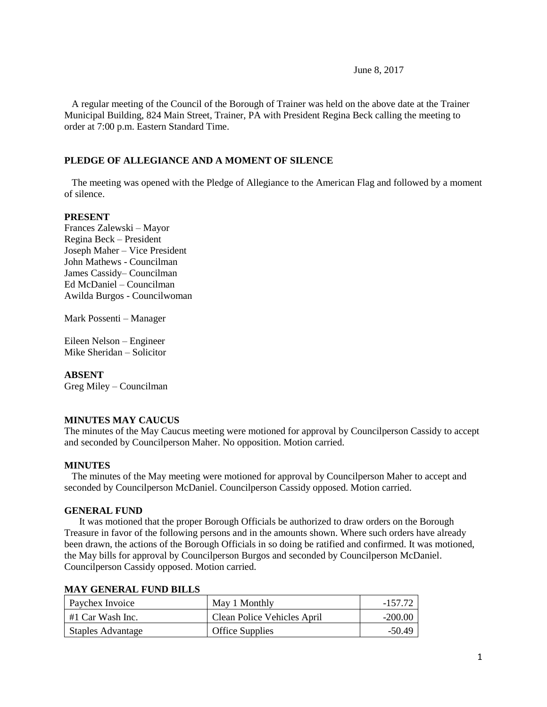June 8, 2017

 A regular meeting of the Council of the Borough of Trainer was held on the above date at the Trainer Municipal Building, 824 Main Street, Trainer, PA with President Regina Beck calling the meeting to order at 7:00 p.m. Eastern Standard Time.

# **PLEDGE OF ALLEGIANCE AND A MOMENT OF SILENCE**

 The meeting was opened with the Pledge of Allegiance to the American Flag and followed by a moment of silence.

# **PRESENT**

Frances Zalewski – Mayor Regina Beck – President Joseph Maher – Vice President John Mathews - Councilman James Cassidy– Councilman Ed McDaniel – Councilman Awilda Burgos - Councilwoman

Mark Possenti – Manager

Eileen Nelson – Engineer Mike Sheridan – Solicitor

#### **ABSENT**

Greg Miley – Councilman

# **MINUTES MAY CAUCUS**

The minutes of the May Caucus meeting were motioned for approval by Councilperson Cassidy to accept and seconded by Councilperson Maher. No opposition. Motion carried.

#### **MINUTES**

The minutes of the May meeting were motioned for approval by Councilperson Maher to accept and seconded by Councilperson McDaniel. Councilperson Cassidy opposed. Motion carried.

#### **GENERAL FUND**

 It was motioned that the proper Borough Officials be authorized to draw orders on the Borough Treasure in favor of the following persons and in the amounts shown. Where such orders have already been drawn, the actions of the Borough Officials in so doing be ratified and confirmed. It was motioned, the May bills for approval by Councilperson Burgos and seconded by Councilperson McDaniel. Councilperson Cassidy opposed. Motion carried.

#### **MAY GENERAL FUND BILLS**

| Paychex Invoice          | May 1 Monthly               | -157.72   |
|--------------------------|-----------------------------|-----------|
| #1 Car Wash Inc.         | Clean Police Vehicles April | $-200.00$ |
| <b>Staples Advantage</b> | <b>Office Supplies</b>      | $-50.49$  |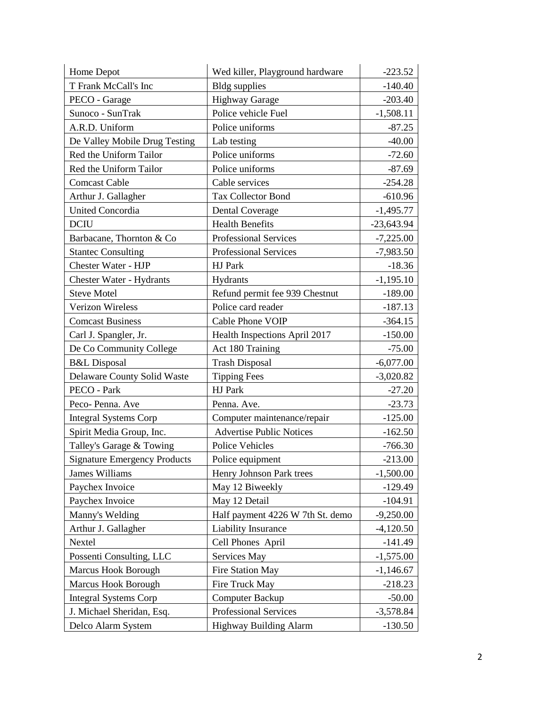| Home Depot                          | Wed killer, Playground hardware  | $-223.52$    |
|-------------------------------------|----------------------------------|--------------|
| T Frank McCall's Inc                | <b>Bldg</b> supplies             | $-140.40$    |
| PECO - Garage                       | <b>Highway Garage</b>            | $-203.40$    |
| Sunoco - SunTrak                    | Police vehicle Fuel              | $-1,508.11$  |
| A.R.D. Uniform                      | Police uniforms                  | $-87.25$     |
| De Valley Mobile Drug Testing       | Lab testing                      | $-40.00$     |
| Red the Uniform Tailor              | Police uniforms                  | $-72.60$     |
| Red the Uniform Tailor              | Police uniforms                  | $-87.69$     |
| <b>Comcast Cable</b>                | Cable services                   | $-254.28$    |
| Arthur J. Gallagher                 | <b>Tax Collector Bond</b>        | $-610.96$    |
| <b>United Concordia</b>             | <b>Dental Coverage</b>           | $-1,495.77$  |
| <b>DCIU</b>                         | <b>Health Benefits</b>           | $-23,643.94$ |
| Barbacane, Thornton & Co            | <b>Professional Services</b>     | $-7,225.00$  |
| <b>Stantec Consulting</b>           | <b>Professional Services</b>     | $-7,983.50$  |
| Chester Water - HJP                 | HJ Park                          | $-18.36$     |
| <b>Chester Water - Hydrants</b>     | Hydrants                         | $-1,195.10$  |
| <b>Steve Motel</b>                  | Refund permit fee 939 Chestnut   | $-189.00$    |
| Verizon Wireless                    | Police card reader               | $-187.13$    |
| <b>Comcast Business</b>             | Cable Phone VOIP                 | $-364.15$    |
| Carl J. Spangler, Jr.               | Health Inspections April 2017    | $-150.00$    |
| De Co Community College             | Act 180 Training                 | $-75.00$     |
| <b>B&amp;L</b> Disposal             | <b>Trash Disposal</b>            | $-6,077.00$  |
| <b>Delaware County Solid Waste</b>  | <b>Tipping Fees</b>              | $-3,020.82$  |
| PECO - Park                         | HJ Park                          | $-27.20$     |
| Peco-Penna. Ave                     | Penna. Ave.                      | $-23.73$     |
| <b>Integral Systems Corp</b>        | Computer maintenance/repair      | $-125.00$    |
| Spirit Media Group, Inc.            | <b>Advertise Public Notices</b>  | $-162.50$    |
| Talley's Garage & Towing            | <b>Police Vehicles</b>           | $-766.30$    |
| <b>Signature Emergency Products</b> | Police equipment                 | $-213.00$    |
| James Williams                      | Henry Johnson Park trees         | $-1,500.00$  |
| Paychex Invoice                     | May 12 Biweekly                  | $-129.49$    |
| Paychex Invoice                     | May 12 Detail                    | $-104.91$    |
| Manny's Welding                     | Half payment 4226 W 7th St. demo | $-9,250.00$  |
| Arthur J. Gallagher                 | Liability Insurance              | $-4,120.50$  |
| Nextel                              | Cell Phones April                | $-141.49$    |
| Possenti Consulting, LLC            | Services May                     | $-1,575.00$  |
| Marcus Hook Borough                 | Fire Station May                 | $-1,146.67$  |
| Marcus Hook Borough                 | Fire Truck May                   | $-218.23$    |
| <b>Integral Systems Corp</b>        | <b>Computer Backup</b>           | $-50.00$     |
| J. Michael Sheridan, Esq.           | Professional Services            | $-3,578.84$  |
| Delco Alarm System                  | <b>Highway Building Alarm</b>    | $-130.50$    |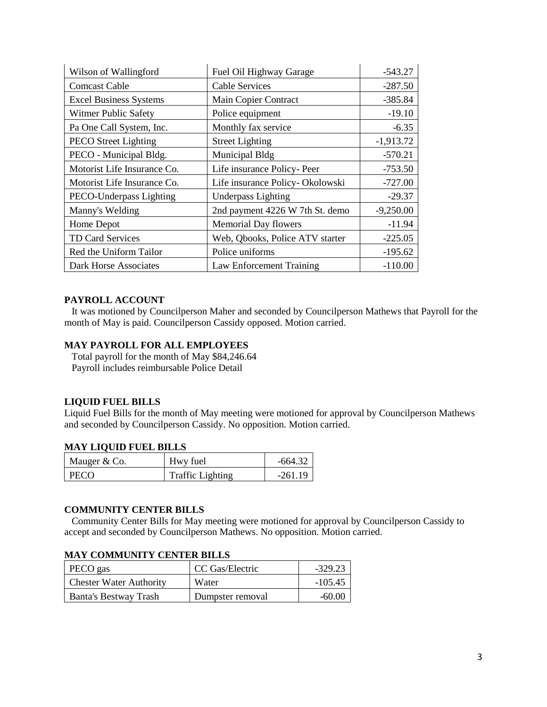| Wilson of Wallingford         | Fuel Oil Highway Garage         | $-543.27$   |
|-------------------------------|---------------------------------|-------------|
| <b>Comcast Cable</b>          | <b>Cable Services</b>           | $-287.50$   |
| <b>Excel Business Systems</b> | Main Copier Contract            | $-385.84$   |
| <b>Witmer Public Safety</b>   | Police equipment                | $-19.10$    |
| Pa One Call System, Inc.      | Monthly fax service             | $-6.35$     |
| <b>PECO</b> Street Lighting   | <b>Street Lighting</b>          | $-1,913.72$ |
| PECO - Municipal Bldg.        | Municipal Bldg                  | $-570.21$   |
| Motorist Life Insurance Co.   | Life insurance Policy-Peer      | $-753.50$   |
| Motorist Life Insurance Co.   | Life insurance Policy-Okolowski | $-727.00$   |
| PECO-Underpass Lighting       | <b>Underpass Lighting</b>       | $-29.37$    |
| Manny's Welding               | 2nd payment 4226 W 7th St. demo | $-9,250.00$ |
| Home Depot                    | <b>Memorial Day flowers</b>     | $-11.94$    |
| TD Card Services              | Web, Qbooks, Police ATV starter | $-225.05$   |
| Red the Uniform Tailor        | Police uniforms                 | $-195.62$   |
| Dark Horse Associates         | Law Enforcement Training        | $-110.00$   |

# **PAYROLL ACCOUNT**

 It was motioned by Councilperson Maher and seconded by Councilperson Mathews that Payroll for the month of May is paid. Councilperson Cassidy opposed. Motion carried.

# **MAY PAYROLL FOR ALL EMPLOYEES**

 Total payroll for the month of May \$84,246.64 Payroll includes reimbursable Police Detail

#### **LIQUID FUEL BILLS**

Liquid Fuel Bills for the month of May meeting were motioned for approval by Councilperson Mathews and seconded by Councilperson Cassidy. No opposition. Motion carried.

# **MAY LIQUID FUEL BILLS**

| Mauger & Co. | Hwy fuel                | -664.32   |
|--------------|-------------------------|-----------|
| I PECO       | <b>Traffic Lighting</b> | $-261.19$ |

# **COMMUNITY CENTER BILLS**

 Community Center Bills for May meeting were motioned for approval by Councilperson Cassidy to accept and seconded by Councilperson Mathews. No opposition. Motion carried.

## **MAY COMMUNITY CENTER BILLS**

| PECO gas                       | CC Gas/Electric  | -329.23   |
|--------------------------------|------------------|-----------|
| <b>Chester Water Authority</b> | Water            | $-105.45$ |
| <b>Banta's Bestway Trash</b>   | Dumpster removal | -60.00    |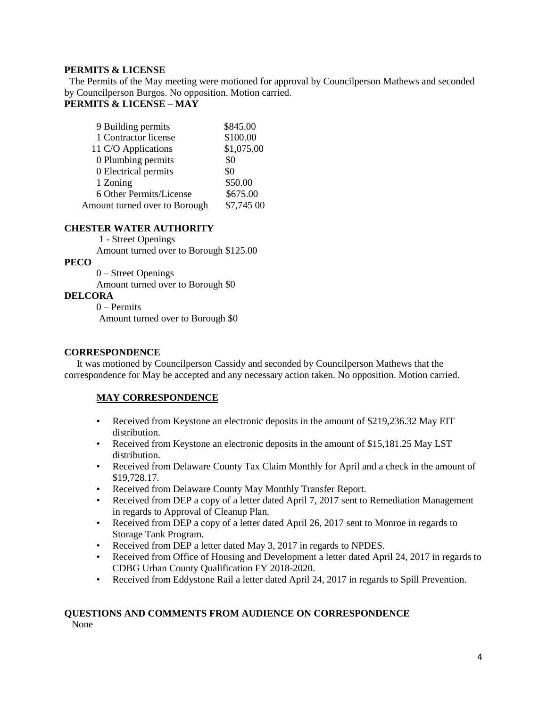# **PERMITS & LICENSE**

The Permits of the May meeting were motioned for approval by Councilperson Mathews and seconded by Councilperson Burgos. No opposition. Motion carried. **PERMITS & LICENSE – MAY**

| 9 Building permits            | \$845.00   |
|-------------------------------|------------|
| 1 Contractor license          | \$100.00   |
| 11 C/O Applications           | \$1,075.00 |
| 0 Plumbing permits            | \$0        |
| 0 Electrical permits          | \$0        |
| 1 Zoning                      | \$50.00    |
| 6 Other Permits/License       | \$675.00   |
| Amount turned over to Borough | \$7,745 00 |

# **CHESTER WATER AUTHORITY**

1 - Street Openings

Amount turned over to Borough \$125.00

# **PECO**

 0 – Street Openings Amount turned over to Borough \$0

# **DELCORA**

0 – Permits Amount turned over to Borough \$0

# **CORRESPONDENCE**

 It was motioned by Councilperson Cassidy and seconded by Councilperson Mathews that the correspondence for May be accepted and any necessary action taken. No opposition. Motion carried.

# **MAY CORRESPONDENCE**

- Received from Keystone an electronic deposits in the amount of \$219,236.32 May EIT distribution.
- Received from Keystone an electronic deposits in the amount of \$15,181.25 May LST distribution.
- Received from Delaware County Tax Claim Monthly for April and a check in the amount of \$19,728.17.
- Received from Delaware County May Monthly Transfer Report.
- Received from DEP a copy of a letter dated April 7, 2017 sent to Remediation Management in regards to Approval of Cleanup Plan.
- Received from DEP a copy of a letter dated April 26, 2017 sent to Monroe in regards to Storage Tank Program.
- Received from DEP a letter dated May 3, 2017 in regards to NPDES.
- Received from Office of Housing and Development a letter dated April 24, 2017 in regards to CDBG Urban County Qualification FY 2018-2020.
- Received from Eddystone Rail a letter dated April 24, 2017 in regards to Spill Prevention.

# **QUESTIONS AND COMMENTS FROM AUDIENCE ON CORRESPONDENCE**

None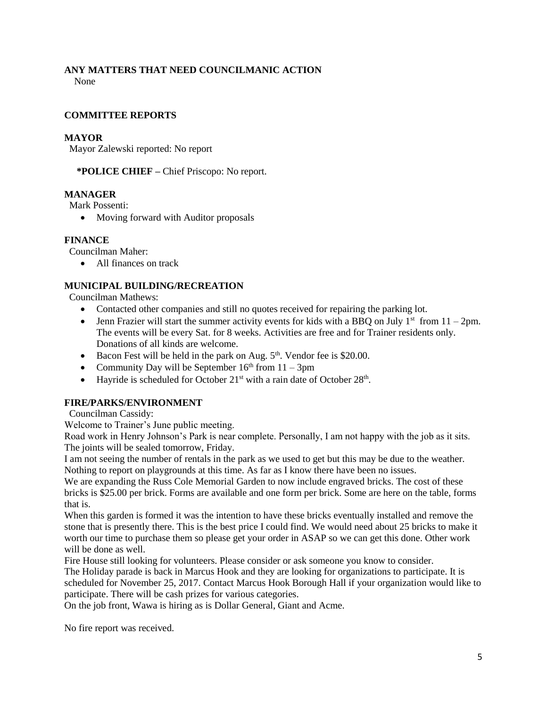# **ANY MATTERS THAT NEED COUNCILMANIC ACTION**

None

# **COMMITTEE REPORTS**

# **MAYOR**

Mayor Zalewski reported: No report

 **\*POLICE CHIEF –** Chief Priscopo: No report.

# **MANAGER**

Mark Possenti:

• Moving forward with Auditor proposals

# **FINANCE**

Councilman Maher:

• All finances on track

# **MUNICIPAL BUILDING/RECREATION**

Councilman Mathews:

- Contacted other companies and still no quotes received for repairing the parking lot.
- Jenn Frazier will start the summer activity events for kids with a BBQ on July  $1<sup>st</sup>$  from  $11 2pm$ . The events will be every Sat. for 8 weeks. Activities are free and for Trainer residents only. Donations of all kinds are welcome.
- Bacon Fest will be held in the park on Aug.  $5<sup>th</sup>$ . Vendor fee is \$20.00.
- Community Day will be September  $16<sup>th</sup>$  from  $11 3$ pm
- Hayride is scheduled for October  $21^{st}$  with a rain date of October  $28^{th}$ .

# **FIRE/PARKS/ENVIRONMENT**

Councilman Cassidy:

Welcome to Trainer's June public meeting.

Road work in Henry Johnson's Park is near complete. Personally, I am not happy with the job as it sits. The joints will be sealed tomorrow, Friday.

I am not seeing the number of rentals in the park as we used to get but this may be due to the weather. Nothing to report on playgrounds at this time. As far as I know there have been no issues.

We are expanding the Russ Cole Memorial Garden to now include engraved bricks. The cost of these bricks is \$25.00 per brick. Forms are available and one form per brick. Some are here on the table, forms that is.

When this garden is formed it was the intention to have these bricks eventually installed and remove the stone that is presently there. This is the best price I could find. We would need about 25 bricks to make it worth our time to purchase them so please get your order in ASAP so we can get this done. Other work will be done as well.

Fire House still looking for volunteers. Please consider or ask someone you know to consider.

The Holiday parade is back in Marcus Hook and they are looking for organizations to participate. It is scheduled for November 25, 2017. Contact Marcus Hook Borough Hall if your organization would like to participate. There will be cash prizes for various categories.

On the job front, Wawa is hiring as is Dollar General, Giant and Acme.

No fire report was received.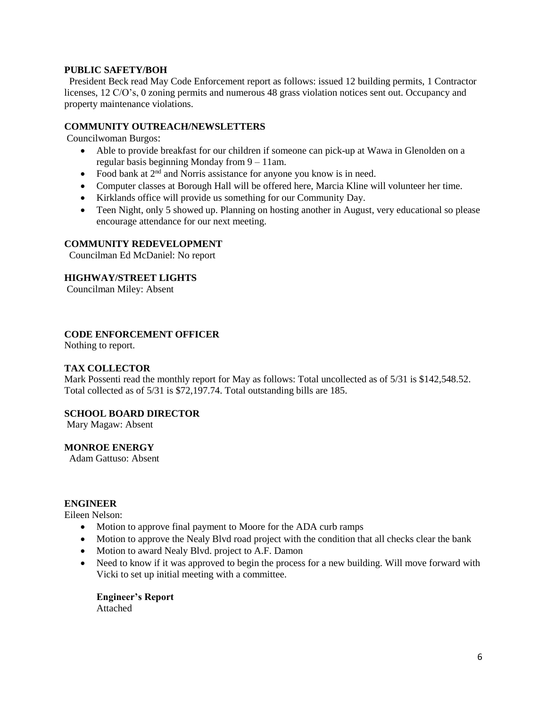## **PUBLIC SAFETY/BOH**

 President Beck read May Code Enforcement report as follows: issued 12 building permits, 1 Contractor licenses, 12 C/O's, 0 zoning permits and numerous 48 grass violation notices sent out. Occupancy and property maintenance violations.

#### **COMMUNITY OUTREACH/NEWSLETTERS**

Councilwoman Burgos:

- Able to provide breakfast for our children if someone can pick-up at Wawa in Glenolden on a regular basis beginning Monday from 9 – 11am.
- Food bank at 2<sup>nd</sup> and Norris assistance for anyone you know is in need.
- Computer classes at Borough Hall will be offered here, Marcia Kline will volunteer her time.
- Kirklands office will provide us something for our Community Day.
- Teen Night, only 5 showed up. Planning on hosting another in August, very educational so please encourage attendance for our next meeting.

#### **COMMUNITY REDEVELOPMENT**

Councilman Ed McDaniel: No report

# **HIGHWAY/STREET LIGHTS**

Councilman Miley: Absent

# **CODE ENFORCEMENT OFFICER**

Nothing to report.

# **TAX COLLECTOR**

Mark Possenti read the monthly report for May as follows: Total uncollected as of 5/31 is \$142,548.52. Total collected as of 5/31 is \$72,197.74. Total outstanding bills are 185.

#### **SCHOOL BOARD DIRECTOR**

Mary Magaw: Absent

#### **MONROE ENERGY**

Adam Gattuso: Absent

#### **ENGINEER**

Eileen Nelson:

- Motion to approve final payment to Moore for the ADA curb ramps
- Motion to approve the Nealy Blvd road project with the condition that all checks clear the bank
- Motion to award Nealy Blvd. project to A.F. Damon
- Need to know if it was approved to begin the process for a new building. Will move forward with Vicki to set up initial meeting with a committee.

**Engineer's Report** Attached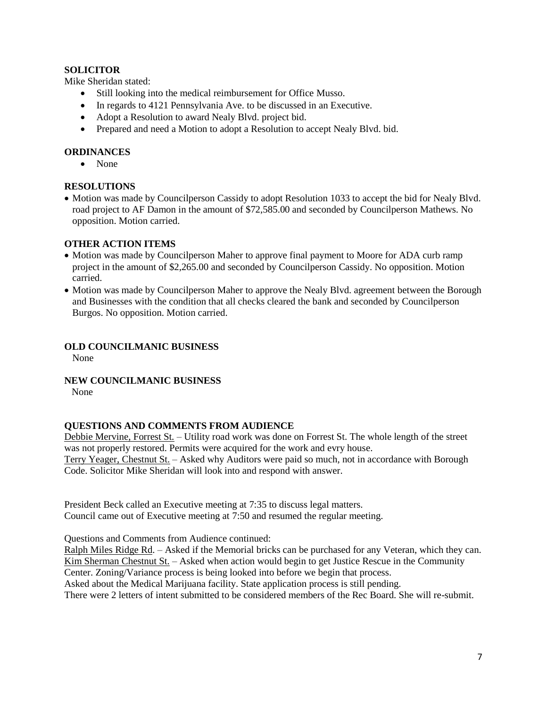# **SOLICITOR**

Mike Sheridan stated:

- Still looking into the medical reimbursement for Office Musso.
- In regards to 4121 Pennsylvania Ave. to be discussed in an Executive.
- Adopt a Resolution to award Nealy Blvd. project bid.
- Prepared and need a Motion to adopt a Resolution to accept Nealy Blvd. bid.

# **ORDINANCES**

None

# **RESOLUTIONS**

• Motion was made by Councilperson Cassidy to adopt Resolution 1033 to accept the bid for Nealy Blvd. road project to AF Damon in the amount of \$72,585.00 and seconded by Councilperson Mathews. No opposition. Motion carried.

# **OTHER ACTION ITEMS**

- Motion was made by Councilperson Maher to approve final payment to Moore for ADA curb ramp project in the amount of \$2,265.00 and seconded by Councilperson Cassidy. No opposition. Motion carried.
- Motion was made by Councilperson Maher to approve the Nealy Blvd. agreement between the Borough and Businesses with the condition that all checks cleared the bank and seconded by Councilperson Burgos. No opposition. Motion carried.

# **OLD COUNCILMANIC BUSINESS**

None

**NEW COUNCILMANIC BUSINESS** 

None

# **QUESTIONS AND COMMENTS FROM AUDIENCE**

Debbie Mervine, Forrest St. – Utility road work was done on Forrest St. The whole length of the street was not properly restored. Permits were acquired for the work and evry house. Terry Yeager, Chestnut St. – Asked why Auditors were paid so much, not in accordance with Borough Code. Solicitor Mike Sheridan will look into and respond with answer.

President Beck called an Executive meeting at 7:35 to discuss legal matters. Council came out of Executive meeting at 7:50 and resumed the regular meeting.

Questions and Comments from Audience continued:

Ralph Miles Ridge Rd. – Asked if the Memorial bricks can be purchased for any Veteran, which they can. Kim Sherman Chestnut St. – Asked when action would begin to get Justice Rescue in the Community Center. Zoning/Variance process is being looked into before we begin that process.

Asked about the Medical Marijuana facility. State application process is still pending.

There were 2 letters of intent submitted to be considered members of the Rec Board. She will re-submit.